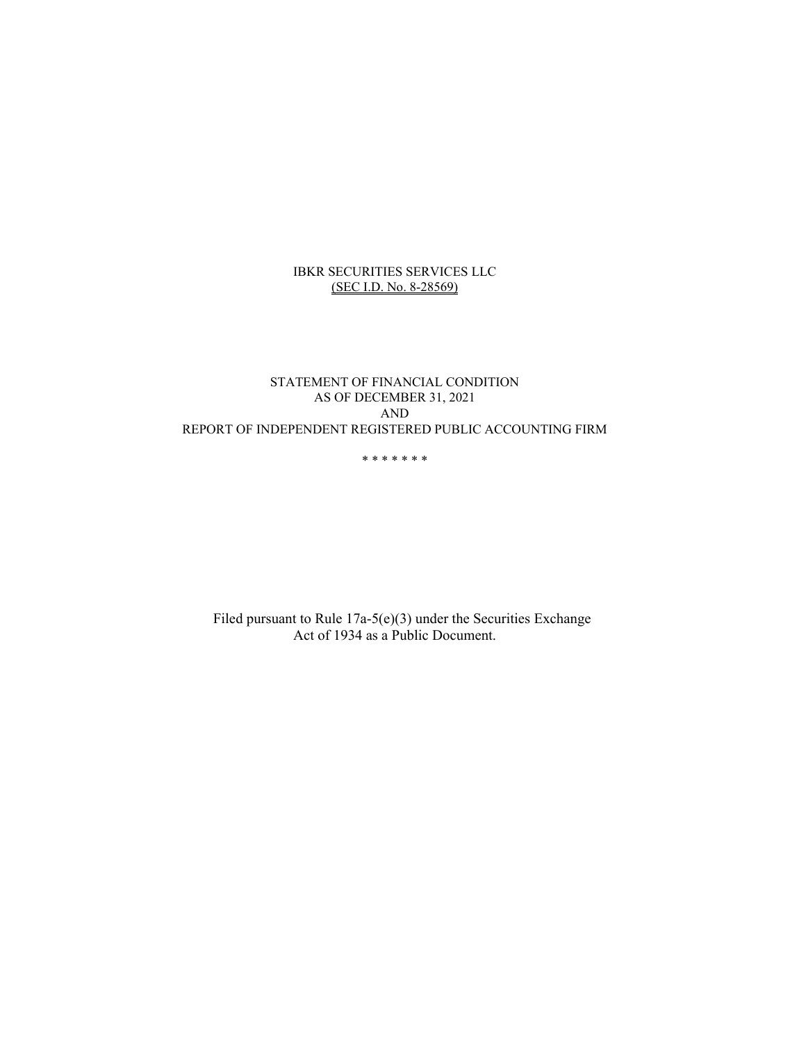## IBKR SECURITIES SERVICES LLC (SEC I.D. No. 8-28569)

## STATEMENT OF FINANCIAL CONDITION AS OF DECEMBER 31, 2021 AND REPORT OF INDEPENDENT REGISTERED PUBLIC ACCOUNTING FIRM

## \* \* \* \* \* \* \*

Filed pursuant to Rule 17a-5(e)(3) under the Securities Exchange Act of 1934 as a Public Document.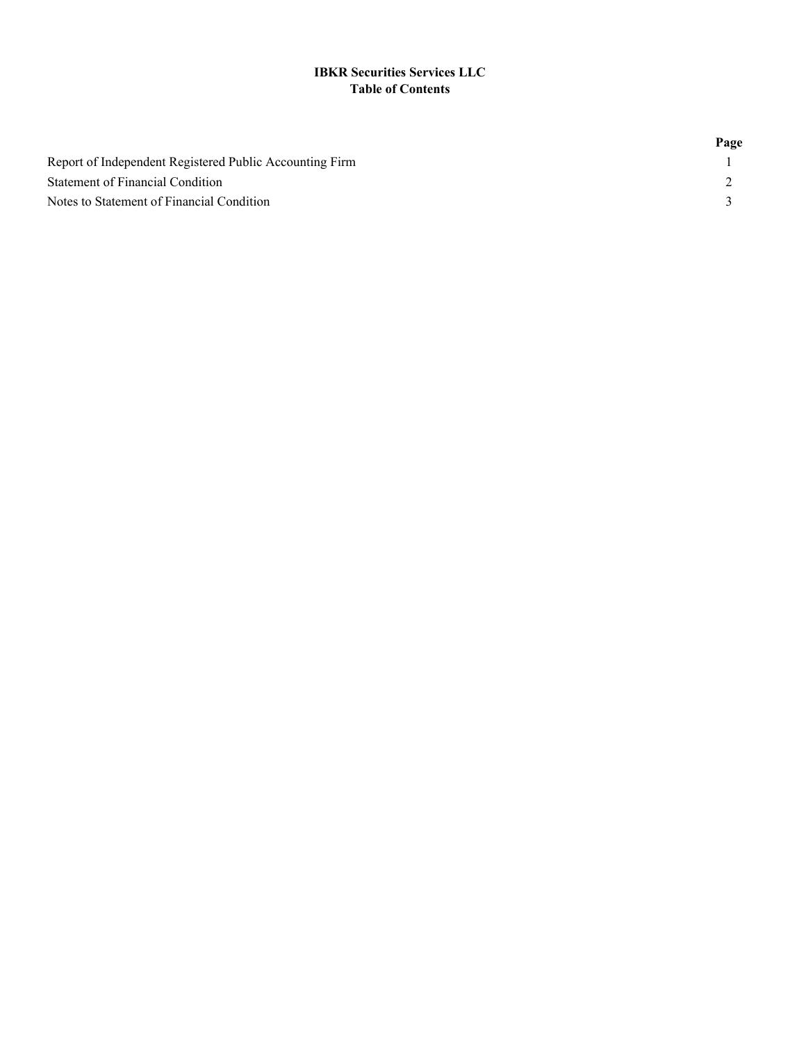## **IBKR Securities Services LLC Table of Contents**

|                                                         | Page |
|---------------------------------------------------------|------|
| Report of Independent Registered Public Accounting Firm |      |
| Statement of Financial Condition                        |      |
| Notes to Statement of Financial Condition               |      |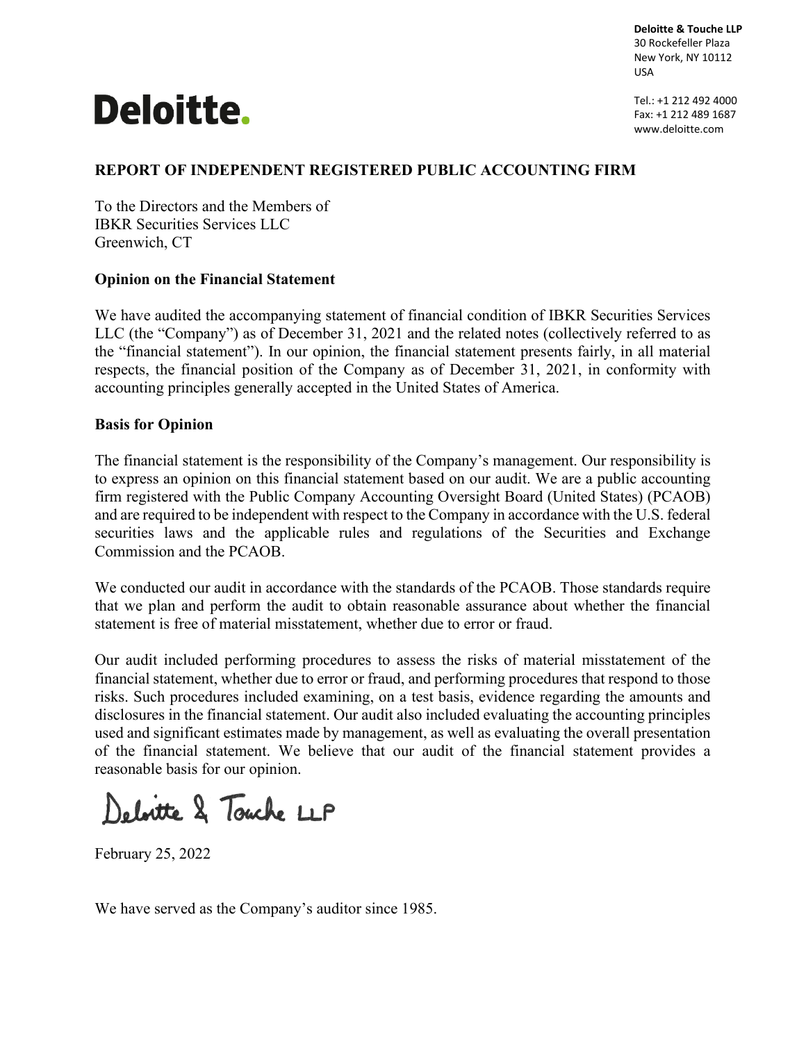**Deloitte & Touche LLP** 30 Rockefeller Plaza New York, NY 10112 USA

# Deloitte.

Tel.: +1 212 492 4000 Fax: +1 212 489 1687 www.deloitte.com

# **REPORT OF INDEPENDENT REGISTERED PUBLIC ACCOUNTING FIRM**

To the Directors and the Members of IBKR Securities Services LLC Greenwich, CT

## **Opinion on the Financial Statement**

We have audited the accompanying statement of financial condition of IBKR Securities Services LLC (the "Company") as of December 31, 2021 and the related notes (collectively referred to as the "financial statement"). In our opinion, the financial statement presents fairly, in all material respects, the financial position of the Company as of December 31, 2021, in conformity with accounting principles generally accepted in the United States of America.

## **Basis for Opinion**

The financial statement is the responsibility of the Company's management. Our responsibility is to express an opinion on this financial statement based on our audit. We are a public accounting firm registered with the Public Company Accounting Oversight Board (United States) (PCAOB) and are required to be independent with respect to the Company in accordance with the U.S. federal securities laws and the applicable rules and regulations of the Securities and Exchange Commission and the PCAOB.

We conducted our audit in accordance with the standards of the PCAOB. Those standards require that we plan and perform the audit to obtain reasonable assurance about whether the financial statement is free of material misstatement, whether due to error or fraud.

Our audit included performing procedures to assess the risks of material misstatement of the financial statement, whether due to error or fraud, and performing procedures that respond to those risks. Such procedures included examining, on a test basis, evidence regarding the amounts and disclosures in the financial statement. Our audit also included evaluating the accounting principles used and significant estimates made by management, as well as evaluating the overall presentation of the financial statement. We believe that our audit of the financial statement provides a reasonable basis for our opinion.

Delvitte & Touche LLP

February 25, 2022

We have served as the Company's auditor since 1985.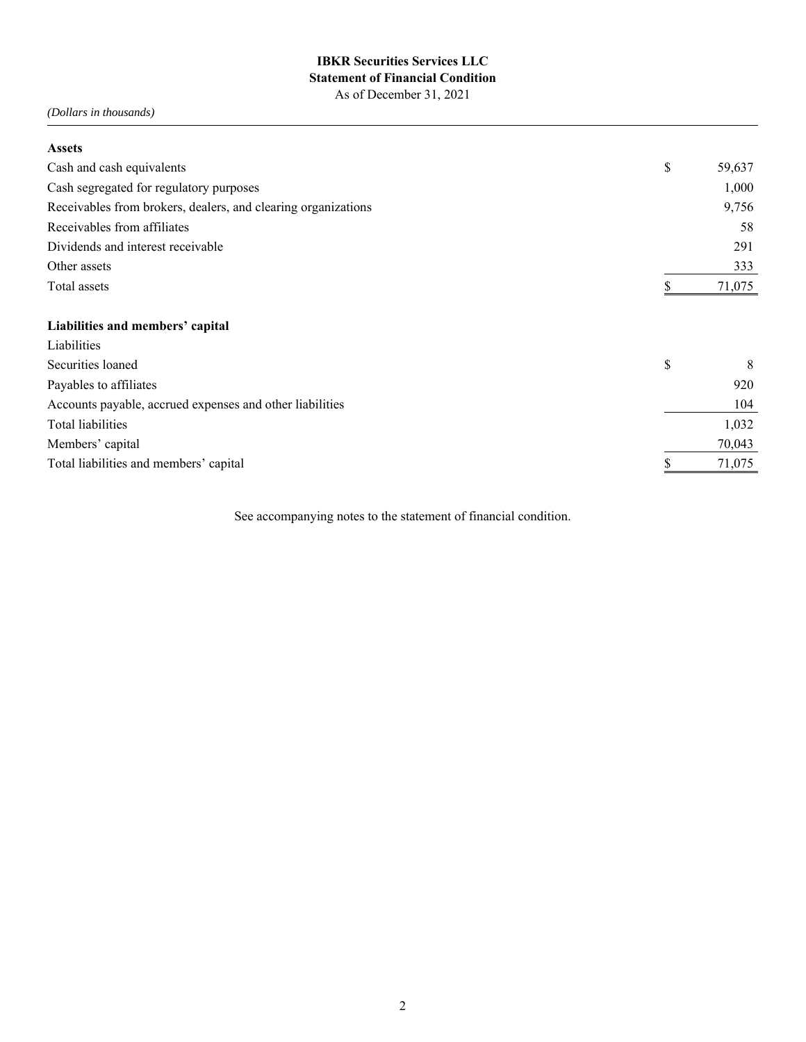## **IBKR Securities Services LLC Statement of Financial Condition**  As of December 31, 2021

*(Dollars in thousands)*

| <b>Assets</b>                                                 |              |
|---------------------------------------------------------------|--------------|
| Cash and cash equivalents                                     | \$<br>59,637 |
| Cash segregated for regulatory purposes                       | 1,000        |
| Receivables from brokers, dealers, and clearing organizations | 9,756        |
| Receivables from affiliates                                   | 58           |
| Dividends and interest receivable                             | 291          |
| Other assets                                                  | 333          |
| Total assets                                                  | 71,075       |
|                                                               |              |
| Liabilities and members' capital                              |              |
| Liabilities                                                   |              |
| Securities loaned                                             | \$<br>8      |
| Payables to affiliates                                        | 920          |
| Accounts payable, accrued expenses and other liabilities      | 104          |
| Total liabilities                                             | 1,032        |
| Members' capital                                              | 70,043       |
| Total liabilities and members' capital                        | 71,075       |

See accompanying notes to the statement of financial condition.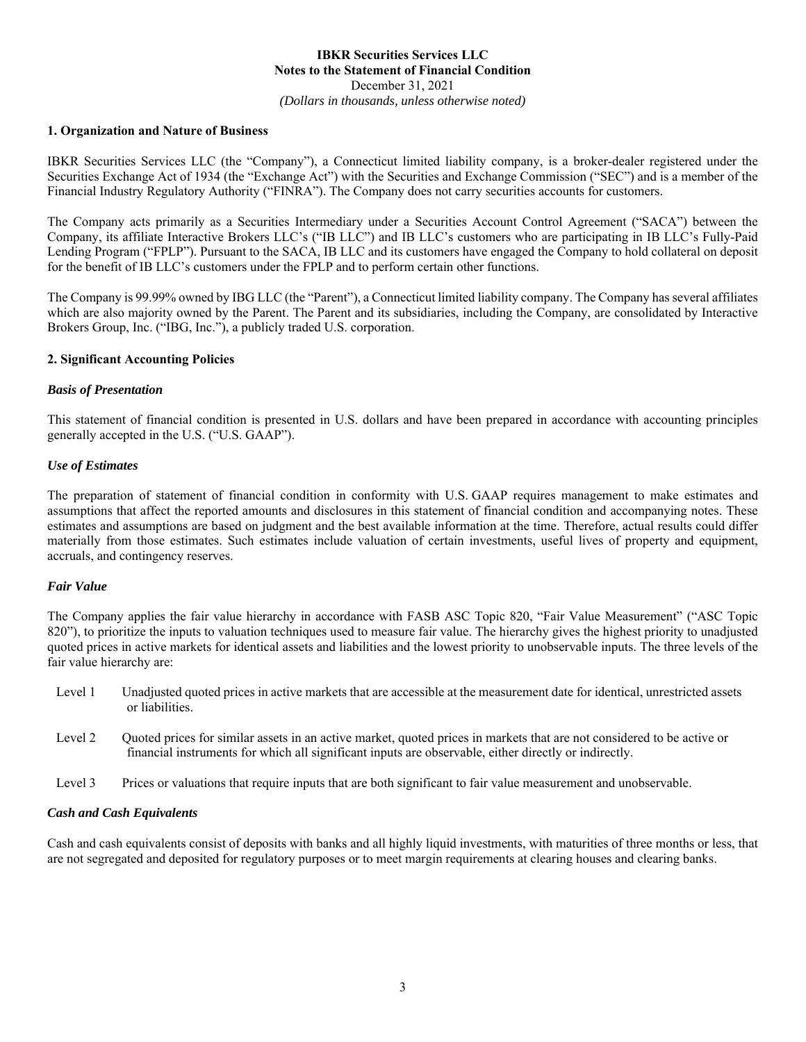## **IBKR Securities Services LLC Notes to the Statement of Financial Condition**  December 31, 2021

*(Dollars in thousands, unless otherwise noted)* 

## **1. Organization and Nature of Business**

IBKR Securities Services LLC (the "Company"), a Connecticut limited liability company, is a broker-dealer registered under the Securities Exchange Act of 1934 (the "Exchange Act") with the Securities and Exchange Commission ("SEC") and is a member of the Financial Industry Regulatory Authority ("FINRA"). The Company does not carry securities accounts for customers.

The Company acts primarily as a Securities Intermediary under a Securities Account Control Agreement ("SACA") between the Company, its affiliate Interactive Brokers LLC's ("IB LLC") and IB LLC's customers who are participating in IB LLC's Fully-Paid Lending Program ("FPLP"). Pursuant to the SACA, IB LLC and its customers have engaged the Company to hold collateral on deposit for the benefit of IB LLC's customers under the FPLP and to perform certain other functions.

The Company is 99.99% owned by IBG LLC (the "Parent"), a Connecticut limited liability company. The Company has several affiliates which are also majority owned by the Parent. The Parent and its subsidiaries, including the Company, are consolidated by Interactive Brokers Group, Inc. ("IBG, Inc."), a publicly traded U.S. corporation.

## **2. Significant Accounting Policies**

### *Basis of Presentation*

This statement of financial condition is presented in U.S. dollars and have been prepared in accordance with accounting principles generally accepted in the U.S. ("U.S. GAAP").

### *Use of Estimates*

The preparation of statement of financial condition in conformity with U.S. GAAP requires management to make estimates and assumptions that affect the reported amounts and disclosures in this statement of financial condition and accompanying notes. These estimates and assumptions are based on judgment and the best available information at the time. Therefore, actual results could differ materially from those estimates. Such estimates include valuation of certain investments, useful lives of property and equipment, accruals, and contingency reserves.

## *Fair Value*

The Company applies the fair value hierarchy in accordance with FASB ASC Topic 820, "Fair Value Measurement" ("ASC Topic 820"), to prioritize the inputs to valuation techniques used to measure fair value. The hierarchy gives the highest priority to unadjusted quoted prices in active markets for identical assets and liabilities and the lowest priority to unobservable inputs. The three levels of the fair value hierarchy are:

- Level 1 Unadjusted quoted prices in active markets that are accessible at the measurement date for identical, unrestricted assets or liabilities.
- Level 2 Quoted prices for similar assets in an active market, quoted prices in markets that are not considered to be active or financial instruments for which all significant inputs are observable, either directly or indirectly.
- Level 3 Prices or valuations that require inputs that are both significant to fair value measurement and unobservable.

## *Cash and Cash Equivalents*

Cash and cash equivalents consist of deposits with banks and all highly liquid investments, with maturities of three months or less, that are not segregated and deposited for regulatory purposes or to meet margin requirements at clearing houses and clearing banks.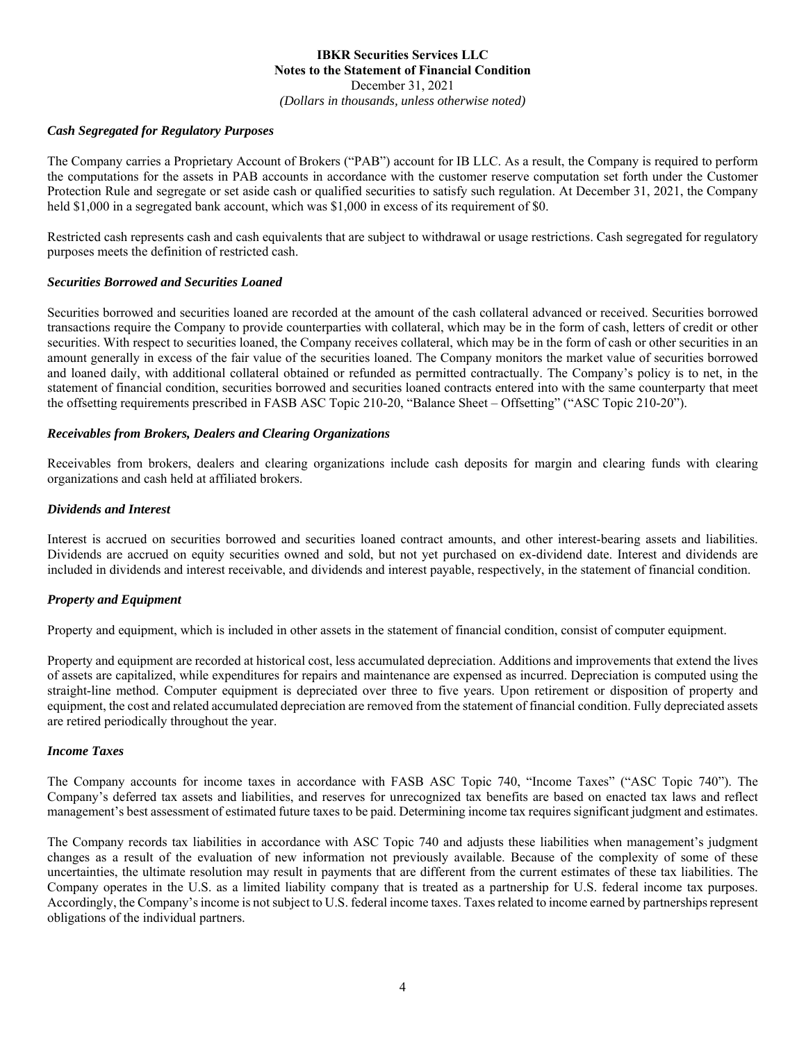## **IBKR Securities Services LLC Notes to the Statement of Financial Condition**  December 31, 2021 *(Dollars in thousands, unless otherwise noted)*

# *Cash Segregated for Regulatory Purposes*

The Company carries a Proprietary Account of Brokers ("PAB") account for IB LLC. As a result, the Company is required to perform the computations for the assets in PAB accounts in accordance with the customer reserve computation set forth under the Customer Protection Rule and segregate or set aside cash or qualified securities to satisfy such regulation. At December 31, 2021, the Company held \$1,000 in a segregated bank account, which was \$1,000 in excess of its requirement of \$0.

Restricted cash represents cash and cash equivalents that are subject to withdrawal or usage restrictions. Cash segregated for regulatory purposes meets the definition of restricted cash.

## *Securities Borrowed and Securities Loaned*

Securities borrowed and securities loaned are recorded at the amount of the cash collateral advanced or received. Securities borrowed transactions require the Company to provide counterparties with collateral, which may be in the form of cash, letters of credit or other securities. With respect to securities loaned, the Company receives collateral, which may be in the form of cash or other securities in an amount generally in excess of the fair value of the securities loaned. The Company monitors the market value of securities borrowed and loaned daily, with additional collateral obtained or refunded as permitted contractually. The Company's policy is to net, in the statement of financial condition, securities borrowed and securities loaned contracts entered into with the same counterparty that meet the offsetting requirements prescribed in FASB ASC Topic 210-20, "Balance Sheet – Offsetting" ("ASC Topic 210-20").

## *Receivables from Brokers, Dealers and Clearing Organizations*

Receivables from brokers, dealers and clearing organizations include cash deposits for margin and clearing funds with clearing organizations and cash held at affiliated brokers.

### *Dividends and Interest*

Interest is accrued on securities borrowed and securities loaned contract amounts, and other interest-bearing assets and liabilities. Dividends are accrued on equity securities owned and sold, but not yet purchased on ex-dividend date. Interest and dividends are included in dividends and interest receivable, and dividends and interest payable, respectively, in the statement of financial condition.

#### *Property and Equipment*

Property and equipment, which is included in other assets in the statement of financial condition, consist of computer equipment.

Property and equipment are recorded at historical cost, less accumulated depreciation. Additions and improvements that extend the lives of assets are capitalized, while expenditures for repairs and maintenance are expensed as incurred. Depreciation is computed using the straight-line method. Computer equipment is depreciated over three to five years. Upon retirement or disposition of property and equipment, the cost and related accumulated depreciation are removed from the statement of financial condition. Fully depreciated assets are retired periodically throughout the year.

#### *Income Taxes*

The Company accounts for income taxes in accordance with FASB ASC Topic 740, "Income Taxes" ("ASC Topic 740"). The Company's deferred tax assets and liabilities, and reserves for unrecognized tax benefits are based on enacted tax laws and reflect management's best assessment of estimated future taxes to be paid. Determining income tax requires significant judgment and estimates.

The Company records tax liabilities in accordance with ASC Topic 740 and adjusts these liabilities when management's judgment changes as a result of the evaluation of new information not previously available. Because of the complexity of some of these uncertainties, the ultimate resolution may result in payments that are different from the current estimates of these tax liabilities. The Company operates in the U.S. as a limited liability company that is treated as a partnership for U.S. federal income tax purposes. Accordingly, the Company's income is not subject to U.S. federal income taxes. Taxes related to income earned by partnerships represent obligations of the individual partners.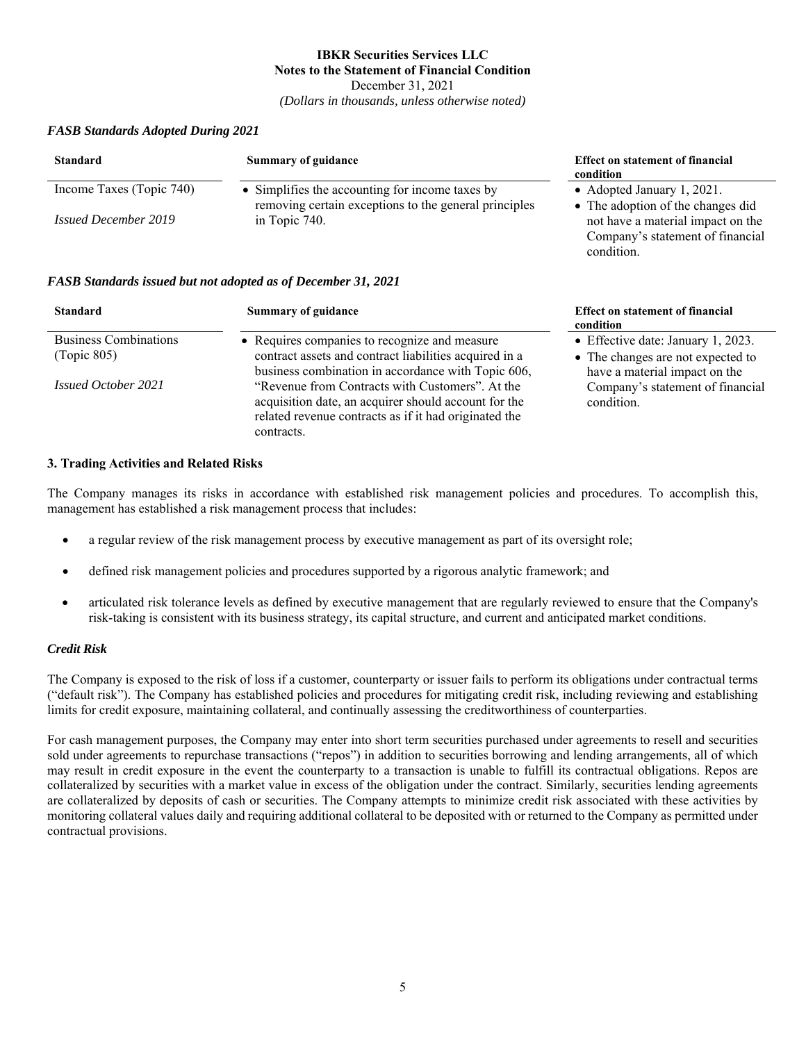## **IBKR Securities Services LLC Notes to the Statement of Financial Condition**  December 31, 2021

*(Dollars in thousands, unless otherwise noted)* 

## *FASB Standards Adopted During 2021*

| <b>Standard</b>             | <b>Summary of guidance</b>                                             | <b>Effect on statement of financial</b><br>condition                                                       |
|-----------------------------|------------------------------------------------------------------------|------------------------------------------------------------------------------------------------------------|
| Income Taxes (Topic 740)    | • Simplifies the accounting for income taxes by                        | • Adopted January 1, 2021.                                                                                 |
| <i>Issued December 2019</i> | removing certain exceptions to the general principles<br>in Topic 740. | • The adoption of the changes did<br>not have a material impact on the<br>Company's statement of financial |

condition.

## *FASB Standards issued but not adopted as of December 31, 2021*

| <b>Standard</b>                             | <b>Summary of guidance</b>                                                                                                                                       | <b>Effect on statement of financial</b><br>condition                                                     |
|---------------------------------------------|------------------------------------------------------------------------------------------------------------------------------------------------------------------|----------------------------------------------------------------------------------------------------------|
| <b>Business Combinations</b><br>(Topic 805) | • Requires companies to recognize and measure<br>contract assets and contract liabilities acquired in a<br>business combination in accordance with Topic 606,    | • Effective date: January 1, 2023.<br>• The changes are not expected to<br>have a material impact on the |
| <i>Issued October 2021</i>                  | "Revenue from Contracts with Customers". At the<br>acquisition date, an acquirer should account for the<br>related revenue contracts as if it had originated the | Company's statement of financial<br>condition.                                                           |
|                                             | contracts.                                                                                                                                                       |                                                                                                          |

## **3. Trading Activities and Related Risks**

The Company manages its risks in accordance with established risk management policies and procedures. To accomplish this, management has established a risk management process that includes:

- a regular review of the risk management process by executive management as part of its oversight role;
- defined risk management policies and procedures supported by a rigorous analytic framework; and
- articulated risk tolerance levels as defined by executive management that are regularly reviewed to ensure that the Company's risk-taking is consistent with its business strategy, its capital structure, and current and anticipated market conditions.

## *Credit Risk*

The Company is exposed to the risk of loss if a customer, counterparty or issuer fails to perform its obligations under contractual terms ("default risk"). The Company has established policies and procedures for mitigating credit risk, including reviewing and establishing limits for credit exposure, maintaining collateral, and continually assessing the creditworthiness of counterparties.

For cash management purposes, the Company may enter into short term securities purchased under agreements to resell and securities sold under agreements to repurchase transactions ("repos") in addition to securities borrowing and lending arrangements, all of which may result in credit exposure in the event the counterparty to a transaction is unable to fulfill its contractual obligations. Repos are collateralized by securities with a market value in excess of the obligation under the contract. Similarly, securities lending agreements are collateralized by deposits of cash or securities. The Company attempts to minimize credit risk associated with these activities by monitoring collateral values daily and requiring additional collateral to be deposited with or returned to the Company as permitted under contractual provisions.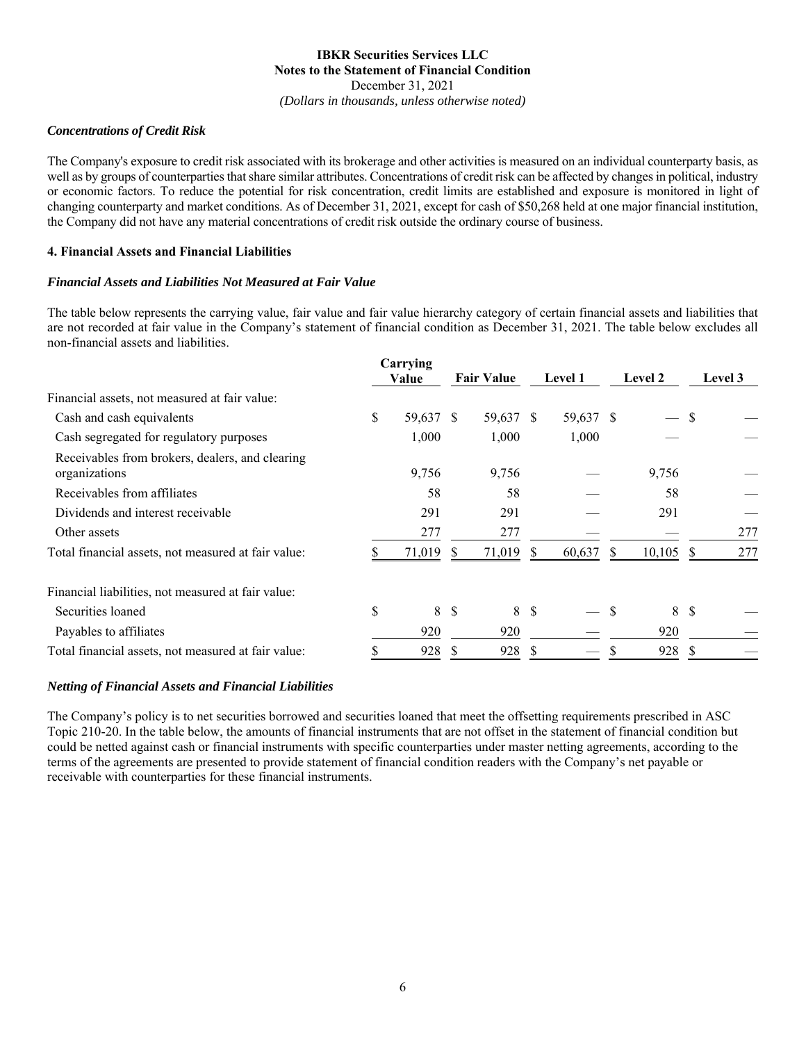## **IBKR Securities Services LLC Notes to the Statement of Financial Condition**  December 31, 2021 *(Dollars in thousands, unless otherwise noted)*

## *Concentrations of Credit Risk*

The Company's exposure to credit risk associated with its brokerage and other activities is measured on an individual counterparty basis, as well as by groups of counterparties that share similar attributes. Concentrations of credit risk can be affected by changes in political, industry or economic factors. To reduce the potential for risk concentration, credit limits are established and exposure is monitored in light of changing counterparty and market conditions. As of December 31, 2021, except for cash of \$50,268 held at one major financial institution, the Company did not have any material concentrations of credit risk outside the ordinary course of business.

## **4. Financial Assets and Financial Liabilities**

## *Financial Assets and Liabilities Not Measured at Fair Value*

The table below represents the carrying value, fair value and fair value hierarchy category of certain financial assets and liabilities that are not recorded at fair value in the Company's statement of financial condition as December 31, 2021. The table below excludes all non-financial assets and liabilities.

|                                                                  | Carrying<br>Value |     | <b>Fair Value</b> |               | <b>Level 1</b> |     | Level 2 |              | Level 3 |
|------------------------------------------------------------------|-------------------|-----|-------------------|---------------|----------------|-----|---------|--------------|---------|
| Financial assets, not measured at fair value:                    |                   |     |                   |               |                |     |         |              |         |
| Cash and cash equivalents                                        | \$<br>59,637 \$   |     | 59,637            | -S            | 59,637 \$      |     |         | S            |         |
| Cash segregated for regulatory purposes                          | 1,000             |     | 1,000             |               | 1,000          |     |         |              |         |
| Receivables from brokers, dealers, and clearing<br>organizations | 9,756             |     | 9,756             |               |                |     | 9,756   |              |         |
| Receivables from affiliates                                      | 58                |     | 58                |               |                |     | 58      |              |         |
| Dividends and interest receivable                                | 291               |     | 291               |               |                |     | 291     |              |         |
| Other assets                                                     | 277               |     | 277               |               |                |     |         |              | 277     |
| Total financial assets, not measured at fair value:              | 71,019            | S   | 71,019            | S             | 60,637         | \$. | 10,105  | <sup>S</sup> | 277     |
| Financial liabilities, not measured at fair value:               |                   |     |                   |               |                |     |         |              |         |
| Securities loaned                                                | \$<br>8           | -\$ | 8                 | <sup>\$</sup> |                | \$  | 8       | - \$         |         |
| Payables to affiliates                                           | 920               |     | 920               |               |                |     | 920     |              |         |
| Total financial assets, not measured at fair value:              | 928               |     | 928               | -S            |                |     | 928     |              |         |

## *Netting of Financial Assets and Financial Liabilities*

The Company's policy is to net securities borrowed and securities loaned that meet the offsetting requirements prescribed in ASC Topic 210-20. In the table below, the amounts of financial instruments that are not offset in the statement of financial condition but could be netted against cash or financial instruments with specific counterparties under master netting agreements, according to the terms of the agreements are presented to provide statement of financial condition readers with the Company's net payable or receivable with counterparties for these financial instruments.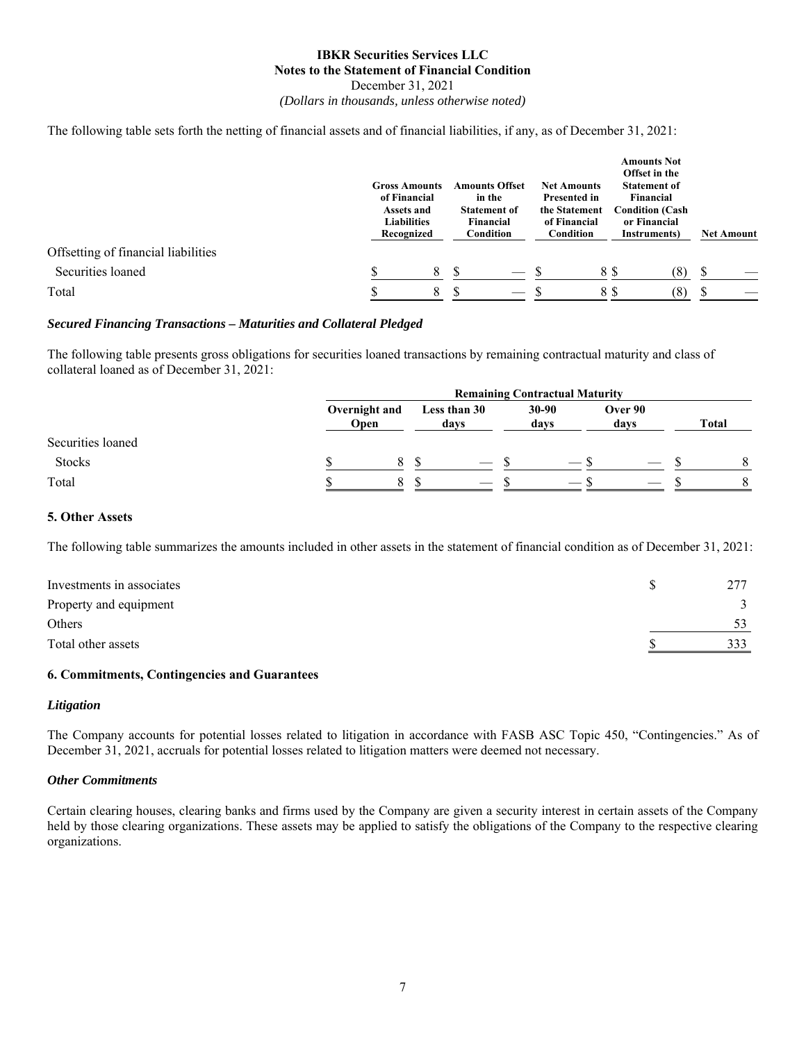## **IBKR Securities Services LLC Notes to the Statement of Financial Condition**

December 31, 2021

*(Dollars in thousands, unless otherwise noted)* 

The following table sets forth the netting of financial assets and of financial liabilities, if any, as of December 31, 2021:

|                                     | <b>Gross Amounts</b><br>of Financial<br>Assets and<br><b>Liabilities</b><br>Recognized | <b>Amounts Offset</b><br>in the<br><b>Statement of</b><br>Financial<br>Condition | <b>Net Amounts</b><br><b>Presented in</b><br>the Statement<br>of Financial<br>Condition | <b>Amounts Not</b><br>Offset in the<br><b>Statement of</b><br>Financial<br><b>Condition (Cash</b><br>or Financial<br>Instruments) | <b>Net Amount</b> |
|-------------------------------------|----------------------------------------------------------------------------------------|----------------------------------------------------------------------------------|-----------------------------------------------------------------------------------------|-----------------------------------------------------------------------------------------------------------------------------------|-------------------|
| Offsetting of financial liabilities |                                                                                        |                                                                                  |                                                                                         |                                                                                                                                   |                   |
| Securities loaned                   | 8                                                                                      | $\overline{\phantom{a}}$                                                         |                                                                                         | 8\$<br>(8)                                                                                                                        |                   |
| Total                               | 8                                                                                      | $\qquad \qquad$                                                                  |                                                                                         | 8 S<br>(8)                                                                                                                        |                   |

#### *Secured Financing Transactions – Maturities and Collateral Pledged*

The following table presents gross obligations for securities loaned transactions by remaining contractual maturity and class of collateral loaned as of December 31, 2021:

|                   | <b>Remaining Contractual Maturity</b> |                      |                          |                 |              |  |  |  |
|-------------------|---------------------------------------|----------------------|--------------------------|-----------------|--------------|--|--|--|
|                   | Overnight and<br>Open                 | Less than 30<br>davs | $30 - 90$<br>davs        | Over 90<br>davs | <b>Total</b> |  |  |  |
| Securities loaned |                                       |                      |                          |                 |              |  |  |  |
| <b>Stocks</b>     | ◠                                     | $-$                  | $\overline{\phantom{a}}$ | $-$             |              |  |  |  |
| Total             | Λ                                     |                      | $\overline{\phantom{a}}$ | $-$             |              |  |  |  |

#### **5. Other Assets**

The following table summarizes the amounts included in other assets in the statement of financial condition as of December 31, 2021:

| Investments in associates | つワワ<br>$\sim$ |
|---------------------------|---------------|
| Property and equipment    |               |
| Others                    |               |
| Total other assets        |               |

## **6. Commitments, Contingencies and Guarantees**

#### *Litigation*

The Company accounts for potential losses related to litigation in accordance with FASB ASC Topic 450, "Contingencies." As of December 31, 2021, accruals for potential losses related to litigation matters were deemed not necessary.

#### *Other Commitments*

Certain clearing houses, clearing banks and firms used by the Company are given a security interest in certain assets of the Company held by those clearing organizations. These assets may be applied to satisfy the obligations of the Company to the respective clearing organizations.